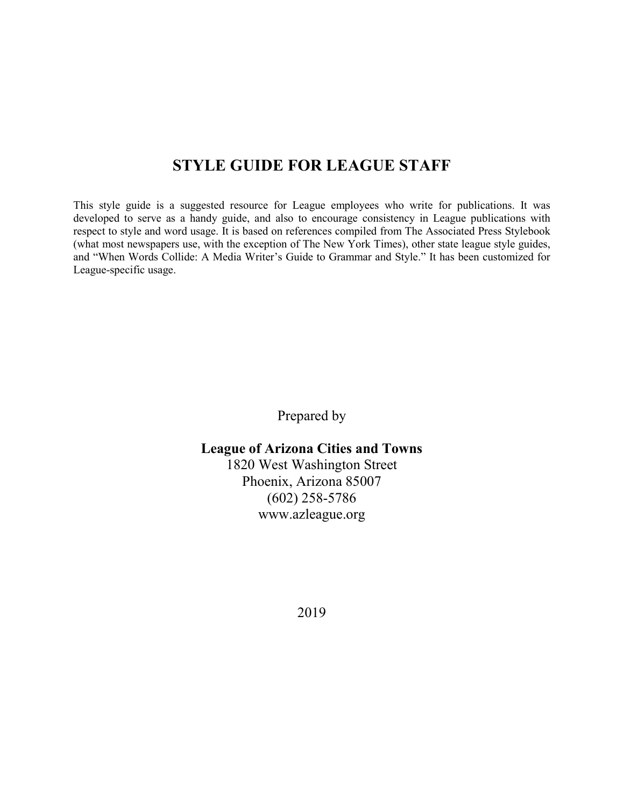#### **STYLE GUIDE FOR LEAGUE STAFF**

This style guide is a suggested resource for League employees who write for publications. It was developed to serve as a handy guide, and also to encourage consistency in League publications with respect to style and word usage. It is based on references compiled from The Associated Press Stylebook (what most newspapers use, with the exception of The New York Times), other state league style guides, and "When Words Collide: A Media Writer's Guide to Grammar and Style." It has been customized for League-specific usage.

Prepared by

#### **League of Arizona Cities and Towns**

1820 West Washington Street Phoenix, Arizona 85007 (602) 258-5786 www.azleague.org

2019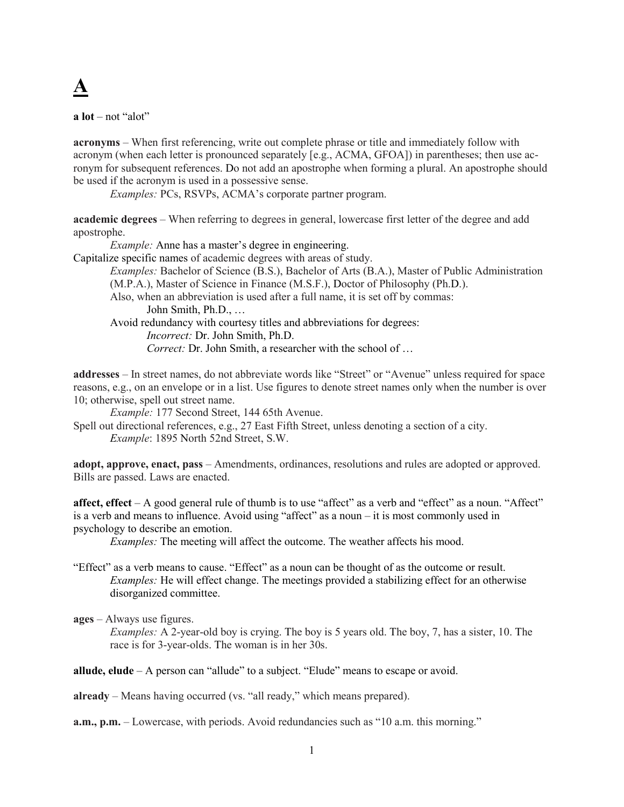

**a lot** – not "alot"

**acronyms** – When first referencing, write out complete phrase or title and immediately follow with acronym (when each letter is pronounced separately [e.g., ACMA, GFOA]) in parentheses; then use acronym for subsequent references. Do not add an apostrophe when forming a plural. An apostrophe should be used if the acronym is used in a possessive sense.

*Examples:* PCs, RSVPs, ACMA's corporate partner program.

**academic degrees** – When referring to degrees in general, lowercase first letter of the degree and add apostrophe.

*Example:* Anne has a master's degree in engineering.

Capitalize specific names of academic degrees with areas of study.

*Examples:* Bachelor of Science (B.S.), Bachelor of Arts (B.A.), Master of Public Administration (M.P.A.), Master of Science in Finance (M.S.F.), Doctor of Philosophy (Ph.D.).

Also, when an abbreviation is used after a full name, it is set off by commas:

John Smith, Ph.D., …

Avoid redundancy with courtesy titles and abbreviations for degrees:

*Incorrect:* Dr. John Smith, Ph.D.

*Correct:* Dr. John Smith, a researcher with the school of …

**addresses** – In street names, do not abbreviate words like "Street" or "Avenue" unless required for space reasons, e.g., on an envelope or in a list. Use figures to denote street names only when the number is over 10; otherwise, spell out street name.

*Example:* 177 Second Street, 144 65th Avenue.

Spell out directional references, e.g., 27 East Fifth Street, unless denoting a section of a city. *Example*: 1895 North 52nd Street, S.W.

**adopt, approve, enact, pass** – Amendments, ordinances, resolutions and rules are adopted or approved. Bills are passed. Laws are enacted.

**affect, effect** – A good general rule of thumb is to use "affect" as a verb and "effect" as a noun. "Affect" is a verb and means to influence. Avoid using "affect" as a noun – it is most commonly used in psychology to describe an emotion.

*Examples:* The meeting will affect the outcome. The weather affects his mood.

"Effect" as a verb means to cause. "Effect" as a noun can be thought of as the outcome or result. *Examples:* He will effect change. The meetings provided a stabilizing effect for an otherwise disorganized committee.

**ages** – Always use figures.

*Examples:* A 2-year-old boy is crying. The boy is 5 years old. The boy, 7, has a sister, 10. The race is for 3-year-olds. The woman is in her 30s.

**allude, elude** – A person can "allude" to a subject. "Elude" means to escape or avoid.

**already** – Means having occurred (vs. "all ready," which means prepared).

**a.m., p.m.** – Lowercase, with periods. Avoid redundancies such as "10 a.m. this morning."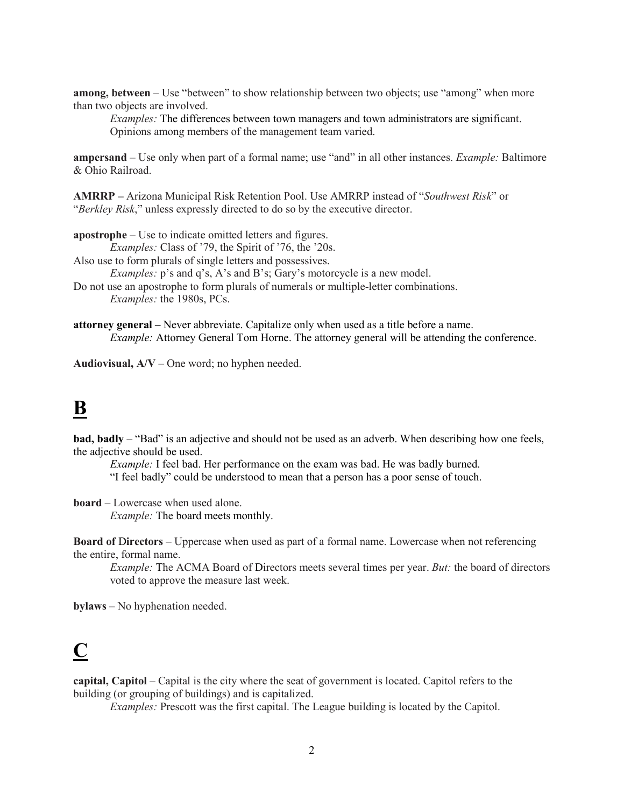**among, between** – Use "between" to show relationship between two objects; use "among" when more than two objects are involved.

*Examples:* The differences between town managers and town administrators are significant. Opinions among members of the management team varied.

**ampersand** – Use only when part of a formal name; use "and" in all other instances. *Example:* Baltimore & Ohio Railroad.

**AMRRP –** Arizona Municipal Risk Retention Pool. Use AMRRP instead of "*Southwest Risk*" or "*Berkley Risk*," unless expressly directed to do so by the executive director.

**apostrophe** – Use to indicate omitted letters and figures.

*Examples:* Class of '79, the Spirit of '76, the '20s.

Also use to form plurals of single letters and possessives.

*Examples:* p's and q's, A's and B's; Gary's motorcycle is a new model.

Do not use an apostrophe to form plurals of numerals or multiple-letter combinations. *Examples:* the 1980s, PCs.

**attorney general –** Never abbreviate. Capitalize only when used as a title before a name. *Example:* Attorney General Tom Horne. The attorney general will be attending the conference.

**Audiovisual, A/V** – One word; no hyphen needed.

#### **B**

**bad, badly** – "Bad" is an adjective and should not be used as an adverb. When describing how one feels, the adjective should be used.

*Example:* I feel bad. Her performance on the exam was bad. He was badly burned. "I feel badly" could be understood to mean that a person has a poor sense of touch.

**board** – Lowercase when used alone. *Example:* The board meets monthly.

**Board of Directors** – Uppercase when used as part of a formal name. Lowercase when not referencing the entire, formal name.

*Example:* The ACMA Board of Directors meets several times per year. *But:* the board of directors voted to approve the measure last week.

**bylaws** – No hyphenation needed.

### **C**

**capital, Capitol** – Capital is the city where the seat of government is located. Capitol refers to the building (or grouping of buildings) and is capitalized.

*Examples:* Prescott was the first capital. The League building is located by the Capitol.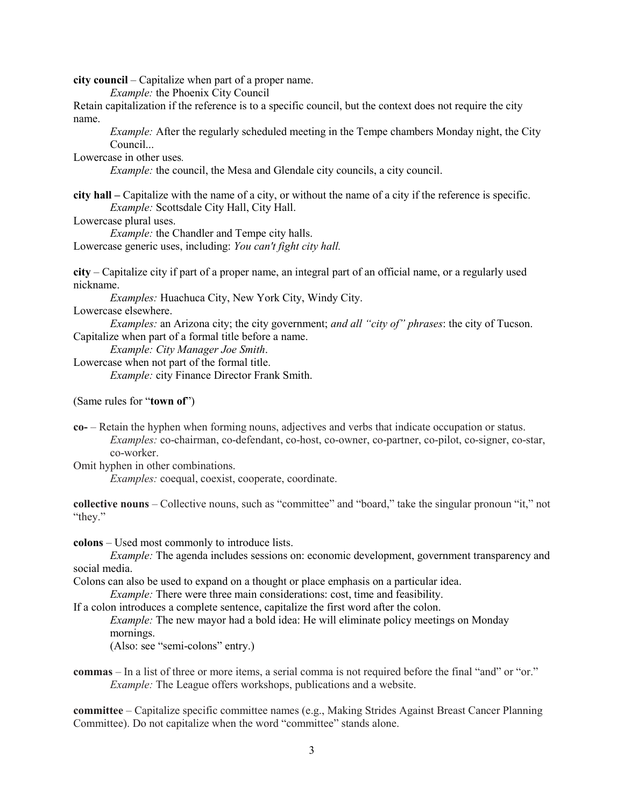**city council** – Capitalize when part of a proper name.

*Example:* the Phoenix City Council

Retain capitalization if the reference is to a specific council, but the context does not require the city name.

*Example:* After the regularly scheduled meeting in the Tempe chambers Monday night, the City Council...

Lowercase in other uses*.*

*Example:* the council, the Mesa and Glendale city councils, a city council.

**city hall –** Capitalize with the name of a city, or without the name of a city if the reference is specific. *Example:* Scottsdale City Hall, City Hall.

Lowercase plural uses.

*Example:* the Chandler and Tempe city halls. Lowercase generic uses, including: *You can't fight city hall.*

**city** – Capitalize city if part of a proper name, an integral part of an official name, or a regularly used nickname.

*Examples:* Huachuca City, New York City, Windy City.

Lowercase elsewhere.

*Examples:* an Arizona city; the city government; *and all "city of" phrases*: the city of Tucson. Capitalize when part of a formal title before a name.

*Example: City Manager Joe Smith*.

Lowercase when not part of the formal title.

*Example:* city Finance Director Frank Smith.

(Same rules for "**town of**")

**co-** – Retain the hyphen when forming nouns, adjectives and verbs that indicate occupation or status. *Examples:* co-chairman, co-defendant, co-host, co-owner, co-partner, co-pilot, co-signer, co-star, co-worker.

Omit hyphen in other combinations.

*Examples:* coequal, coexist, cooperate, coordinate.

**collective nouns** – Collective nouns, such as "committee" and "board," take the singular pronoun "it," not "they."

**colons** – Used most commonly to introduce lists.

*Example:* The agenda includes sessions on: economic development, government transparency and social media.

Colons can also be used to expand on a thought or place emphasis on a particular idea.

*Example:* There were three main considerations: cost, time and feasibility.

If a colon introduces a complete sentence, capitalize the first word after the colon.

*Example:* The new mayor had a bold idea: He will eliminate policy meetings on Monday mornings.

(Also: see "semi-colons" entry.)

**commas** – In a list of three or more items, a serial comma is not required before the final "and" or "or." *Example:* The League offers workshops, publications and a website.

**committee** – Capitalize specific committee names (e.g., Making Strides Against Breast Cancer Planning Committee). Do not capitalize when the word "committee" stands alone.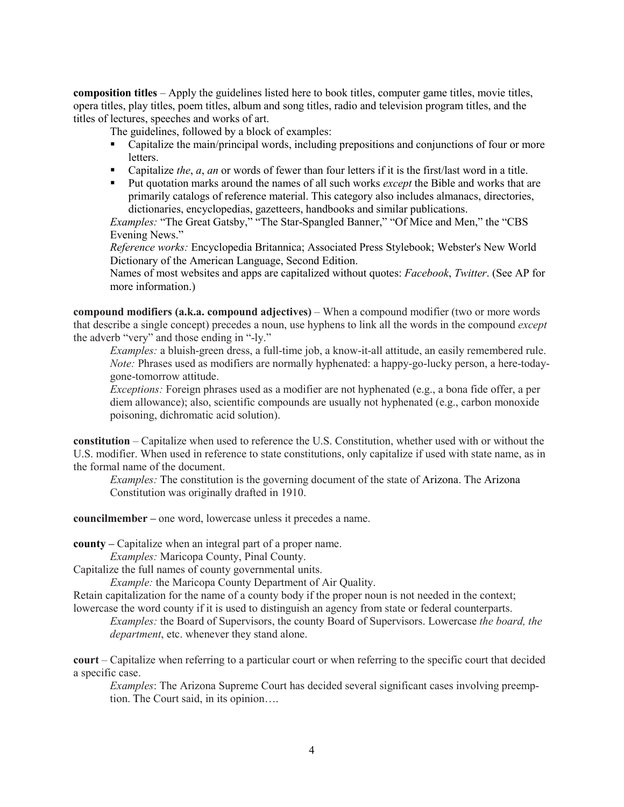**composition titles** – Apply the guidelines listed here to book titles, computer game titles, movie titles, opera titles, play titles, poem titles, album and song titles, radio and television program titles, and the titles of lectures, speeches and works of art.

The guidelines, followed by a block of examples:

- Capitalize the main/principal words, including prepositions and conjunctions of four or more letters.
- Capitalize *the*, *a*, *an* or words of fewer than four letters if it is the first/last word in a title.
- **Put quotation marks around the names of all such works** *except* **the Bible and works that are** primarily catalogs of reference material. This category also includes almanacs, directories, dictionaries, encyclopedias, gazetteers, handbooks and similar publications.

*Examples:* "The Great Gatsby," "The Star-Spangled Banner," "Of Mice and Men," the "CBS Evening News."

*Reference works:* Encyclopedia Britannica; Associated Press Stylebook; Webster's New World Dictionary of the American Language, Second Edition.

Names of most websites and apps are capitalized without quotes: *Facebook*, *Twitter*. (See AP for more information.)

**compound modifiers (a.k.a. compound adjectives)** – When a compound modifier (two or more words that describe a single concept) precedes a noun, use hyphens to link all the words in the compound *except* the adverb "very" and those ending in "-ly."

*Examples:* a bluish-green dress, a full-time job, a know-it-all attitude, an easily remembered rule. *Note:* Phrases used as modifiers are normally hyphenated: a happy-go-lucky person, a here-todaygone-tomorrow attitude.

*Exceptions:* Foreign phrases used as a modifier are not hyphenated (e.g., a bona fide offer, a per diem allowance); also, scientific compounds are usually not hyphenated (e.g., carbon monoxide poisoning, dichromatic acid solution).

**constitution** – Capitalize when used to reference the U.S. Constitution, whether used with or without the U.S. modifier. When used in reference to state constitutions, only capitalize if used with state name, as in the formal name of the document.

*Examples:* The constitution is the governing document of the state of Arizona. The Arizona Constitution was originally drafted in 1910.

**councilmember –** one word, lowercase unless it precedes a name.

**county –** Capitalize when an integral part of a proper name.

*Examples:* Maricopa County, Pinal County.

Capitalize the full names of county governmental units.

*Example:* the Maricopa County Department of Air Quality.

Retain capitalization for the name of a county body if the proper noun is not needed in the context; lowercase the word county if it is used to distinguish an agency from state or federal counterparts.

*Examples:* the Board of Supervisors, the county Board of Supervisors. Lowercase *the board, the department*, etc. whenever they stand alone.

**court** – Capitalize when referring to a particular court or when referring to the specific court that decided a specific case.

*Examples*: The Arizona Supreme Court has decided several significant cases involving preemption. The Court said, in its opinion….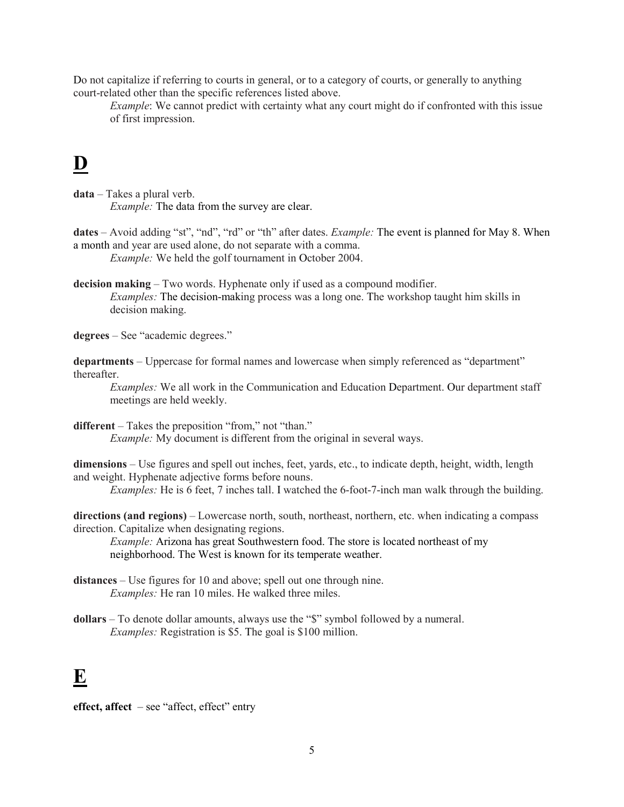Do not capitalize if referring to courts in general, or to a category of courts, or generally to anything court-related other than the specific references listed above.

*Example*: We cannot predict with certainty what any court might do if confronted with this issue of first impression.

### **D**

**data** – Takes a plural verb. *Example:* The data from the survey are clear.

**dates** – Avoid adding "st", "nd", "rd" or "th" after dates. *Example:* The event is planned for May 8. When a month and year are used alone, do not separate with a comma. *Example:* We held the golf tournament in October 2004.

**decision making** – Two words. Hyphenate only if used as a compound modifier. *Examples:* The decision-making process was a long one. The workshop taught him skills in decision making.

**degrees** – See "academic degrees."

**departments** – Uppercase for formal names and lowercase when simply referenced as "department" thereafter.

*Examples:* We all work in the Communication and Education Department. Our department staff meetings are held weekly.

**different** – Takes the preposition "from," not "than." *Example:* My document is different from the original in several ways.

**dimensions** – Use figures and spell out inches, feet, yards, etc., to indicate depth, height, width, length and weight. Hyphenate adjective forms before nouns.

*Examples:* He is 6 feet, 7 inches tall. I watched the 6-foot-7-inch man walk through the building.

**directions (and regions)** – Lowercase north, south, northeast, northern, etc. when indicating a compass direction. Capitalize when designating regions.

*Example:* Arizona has great Southwestern food. The store is located northeast of my neighborhood. The West is known for its temperate weather.

- **distances**  Use figures for 10 and above; spell out one through nine. *Examples:* He ran 10 miles. He walked three miles.
- **dollars**  To denote dollar amounts, always use the "\$" symbol followed by a numeral. *Examples:* Registration is \$5. The goal is \$100 million.

### **E**

**effect, affect** – see "affect, effect" entry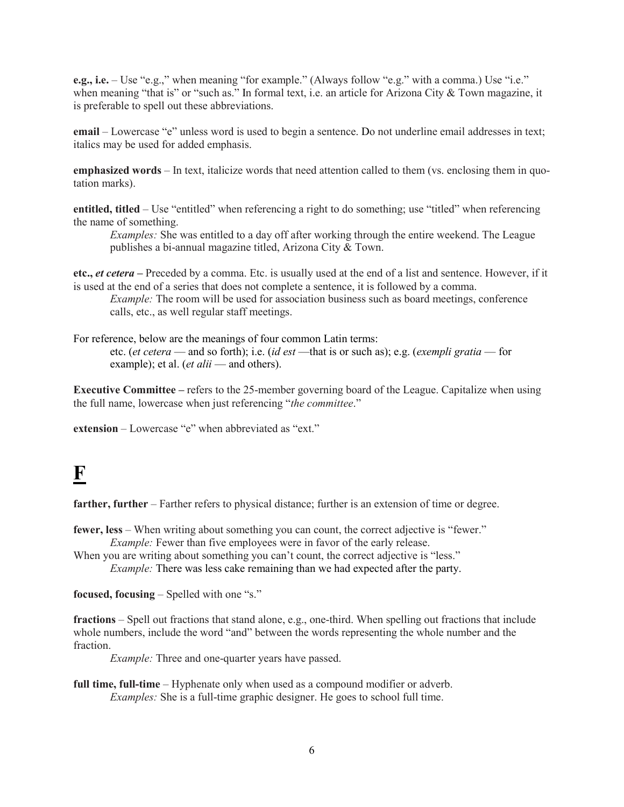**e.g., i.e.** – Use "e.g.," when meaning "for example." (Always follow "e.g." with a comma.) Use "i.e." when meaning "that is" or "such as." In formal text, i.e. an article for Arizona City & Town magazine, it is preferable to spell out these abbreviations.

**email** – Lowercase "e" unless word is used to begin a sentence. Do not underline email addresses in text; italics may be used for added emphasis.

**emphasized words** – In text, italicize words that need attention called to them (vs. enclosing them in quotation marks).

**entitled, titled** – Use "entitled" when referencing a right to do something; use "titled" when referencing the name of something.

*Examples:* She was entitled to a day off after working through the entire weekend. The League publishes a bi-annual magazine titled, Arizona City & Town.

**etc.,** *et cetera* **–** Preceded by a comma. Etc. is usually used at the end of a list and sentence. However, if it is used at the end of a series that does not complete a sentence, it is followed by a comma.

*Example:* The room will be used for association business such as board meetings, conference calls, etc., as well regular staff meetings.

For reference, below are the meanings of four common Latin terms: etc. (*et cetera* — and so forth); i.e. (*id est* —that is or such as); e.g. (*exempli gratia* — for example); et al. (*et alii* — and others).

**Executive Committee –** refers to the 25-member governing board of the League. Capitalize when using the full name, lowercase when just referencing "*the committee*."

**extension** – Lowercase "e" when abbreviated as "ext."

### **F**

**farther, further** – Farther refers to physical distance; further is an extension of time or degree.

**fewer, less** – When writing about something you can count, the correct adjective is "fewer." *Example:* Fewer than five employees were in favor of the early release.

When you are writing about something you can't count, the correct adjective is "less." *Example:* There was less cake remaining than we had expected after the party.

**focused, focusing** – Spelled with one "s."

**fractions** – Spell out fractions that stand alone, e.g., one-third. When spelling out fractions that include whole numbers, include the word "and" between the words representing the whole number and the fraction.

*Example:* Three and one-quarter years have passed.

**full time, full-time** – Hyphenate only when used as a compound modifier or adverb. *Examples:* She is a full-time graphic designer. He goes to school full time.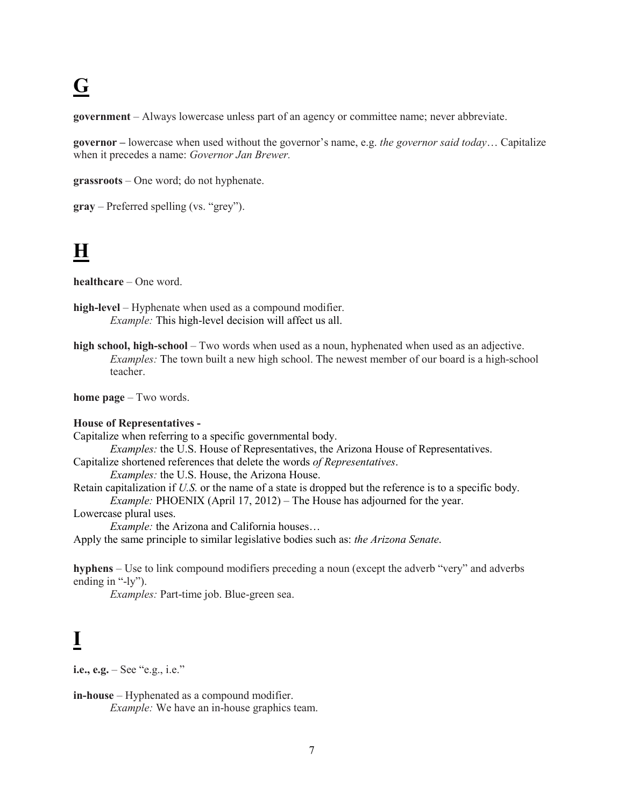# **G**

**government** – Always lowercase unless part of an agency or committee name; never abbreviate.

**governor –** lowercase when used without the governor's name, e.g. *the governor said today*… Capitalize when it precedes a name: *Governor Jan Brewer.*

**grassroots** – One word; do not hyphenate.

**gray** – Preferred spelling (vs. "grey").

### **H**

**healthcare** – One word.

**high-level** – Hyphenate when used as a compound modifier. *Example:* This high-level decision will affect us all.

**high school, high-school** – Two words when used as a noun, hyphenated when used as an adjective. *Examples:* The town built a new high school. The newest member of our board is a high-school teacher.

**home page** – Two words.

#### **House of Representatives -**

Capitalize when referring to a specific governmental body. *Examples:* the U.S. House of Representatives, the Arizona House of Representatives. Capitalize shortened references that delete the words *of Representatives*. *Examples:* the U.S. House, the Arizona House. Retain capitalization if *U.S.* or the name of a state is dropped but the reference is to a specific body. *Example:* PHOENIX (April 17, 2012) – The House has adjourned for the year. Lowercase plural uses. *Example:* the Arizona and California houses… Apply the same principle to similar legislative bodies such as: *the Arizona Senate*.

**hyphens** – Use to link compound modifiers preceding a noun (except the adverb "very" and adverbs ending in "-ly").

*Examples:* Part-time job. Blue-green sea.

## **I**

**i.e., e.g.** – See "e.g., i.e."

**in-house** – Hyphenated as a compound modifier. *Example:* We have an in-house graphics team.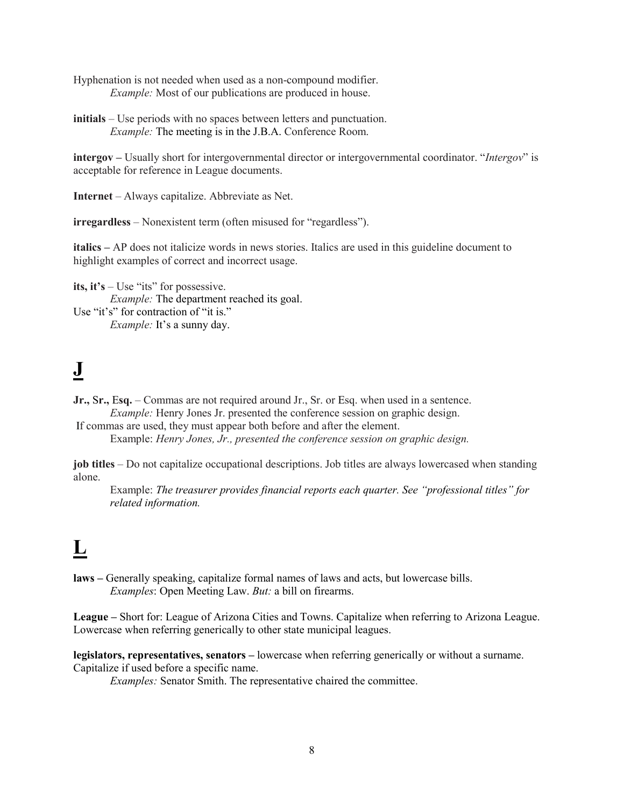Hyphenation is not needed when used as a non-compound modifier. *Example:* Most of our publications are produced in house.

**initials** – Use periods with no spaces between letters and punctuation. *Example:* The meeting is in the J.B.A. Conference Room.

**intergov –** Usually short for intergovernmental director or intergovernmental coordinator. "*Intergov*" is acceptable for reference in League documents.

**Internet** – Always capitalize. Abbreviate as Net.

**irregardless** – Nonexistent term (often misused for "regardless").

**italics –** AP does not italicize words in news stories. Italics are used in this guideline document to highlight examples of correct and incorrect usage.

**its, it's** – Use "its" for possessive. *Example:* The department reached its goal. Use "it's" for contraction of "it is." *Example: It's a sunny day.* 

## **J**

**Jr.,** S**r.,** E**sq.** – Commas are not required around Jr., Sr. or Esq. when used in a sentence. *Example:* Henry Jones Jr. presented the conference session on graphic design.

If commas are used, they must appear both before and after the element. Example: *Henry Jones, Jr., presented the conference session on graphic design.*

**job titles** – Do not capitalize occupational descriptions. Job titles are always lowercased when standing alone.

Example: *The treasurer provides financial reports each quarter. See "professional titles" for related information.*

## **L**

**laws –** Generally speaking, capitalize formal names of laws and acts, but lowercase bills. *Examples*: Open Meeting Law. *But:* a bill on firearms.

**League –** Short for: League of Arizona Cities and Towns. Capitalize when referring to Arizona League. Lowercase when referring generically to other state municipal leagues.

**legislators, representatives, senators –** lowercase when referring generically or without a surname. Capitalize if used before a specific name.

*Examples:* Senator Smith. The representative chaired the committee.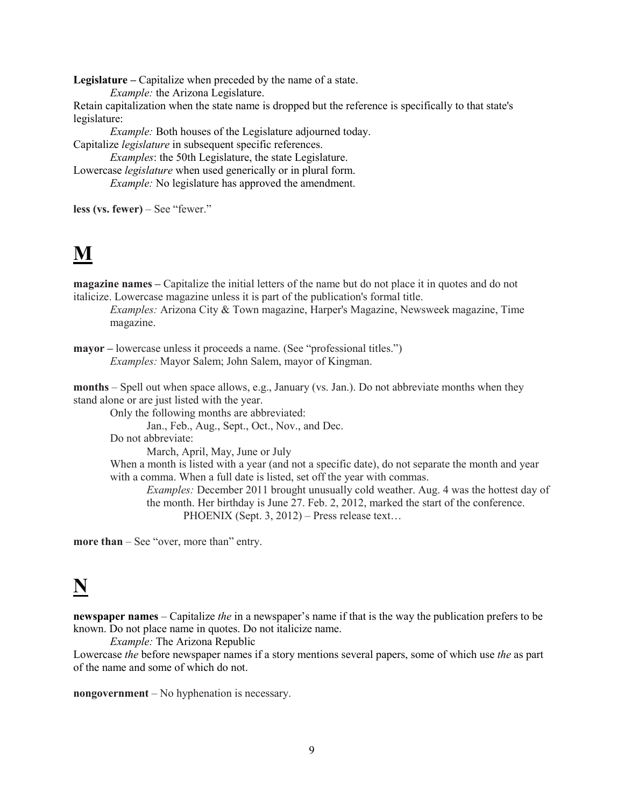**Legislature –** Capitalize when preceded by the name of a state. *Example:* the Arizona Legislature.

Retain capitalization when the state name is dropped but the reference is specifically to that state's legislature:

*Example:* Both houses of the Legislature adjourned today.

Capitalize *legislature* in subsequent specific references.

*Examples*: the 50th Legislature, the state Legislature. Lowercase *legislature* when used generically or in plural form. *Example:* No legislature has approved the amendment.

**less (vs. fewer)** – See "fewer."

## **M**

**magazine names –** Capitalize the initial letters of the name but do not place it in quotes and do not italicize. Lowercase magazine unless it is part of the publication's formal title.

*Examples:* Arizona City & Town magazine, Harper's Magazine, Newsweek magazine, Time magazine.

**mayor** – lowercase unless it proceeds a name. (See "professional titles.") *Examples:* Mayor Salem; John Salem, mayor of Kingman.

**months** – Spell out when space allows, e.g., January (vs. Jan.). Do not abbreviate months when they stand alone or are just listed with the year.

Only the following months are abbreviated:

Jan., Feb., Aug., Sept., Oct., Nov., and Dec.

Do not abbreviate:

March, April, May, June or July

When a month is listed with a year (and not a specific date), do not separate the month and year with a comma. When a full date is listed, set off the year with commas.

*Examples:* December 2011 brought unusually cold weather. Aug. 4 was the hottest day of the month. Her birthday is June 27. Feb. 2, 2012, marked the start of the conference. PHOENIX (Sept. 3, 2012) – Press release text…

**more than** – See "over, more than" entry.

## **N**

**newspaper names** – Capitalize *the* in a newspaper's name if that is the way the publication prefers to be known. Do not place name in quotes. Do not italicize name.

*Example:* The Arizona Republic

Lowercase *the* before newspaper names if a story mentions several papers, some of which use *the* as part of the name and some of which do not.

**nongovernment** – No hyphenation is necessary.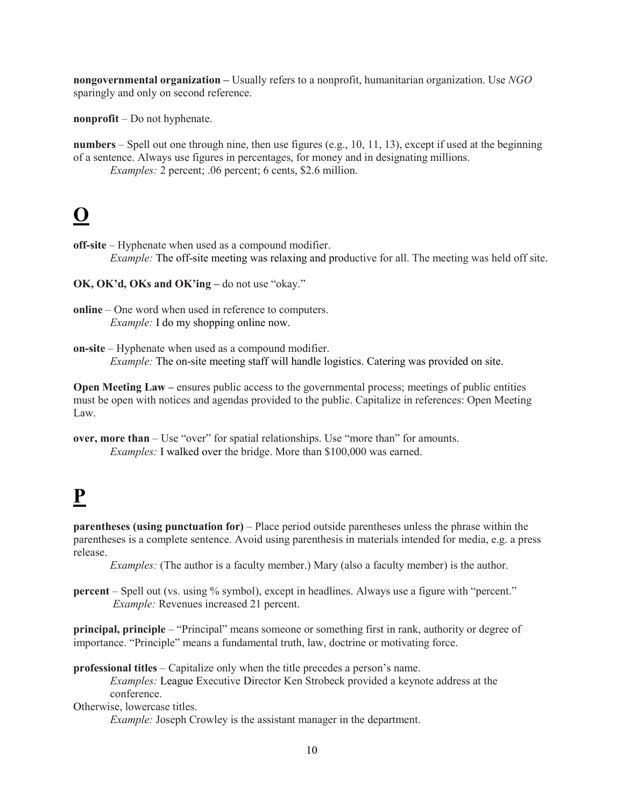**nongovernmental organization –** Usually refers to a nonprofit, humanitarian organization. Use *NGO*  sparingly and only on second reference.

**nonprofit** – Do not hyphenate.

**numbers** – Spell out one through nine, then use figures (e.g., 10, 11, 13), except if used at the beginning of a sentence. Always use figures in percentages, for money and in designating millions.

*Examples:* 2 percent; .06 percent; 6 cents, \$2.6 million.

## **O**

**off-site** – Hyphenate when used as a compound modifier.

*Example:* The off-site meeting was relaxing and productive for all. The meeting was held off site.

**OK, OK'd, OKs and OK'ing –** do not use "okay."

**Open Meeting Law** – ensures public access to the governmental process; meetings of public entities must be open with notices and agendas provided to the public. Capitalize in references: Open Meeting Law.

**over, more than** – Use "over" for spatial relationships. Use "more than" for amounts. *Examples:* I walked over the bridge. More than \$100,000 was earned.

# **P**

**parentheses** (using punctuation for) – Place period outside parentheses unless the phrase within the parentheses is a complete sentence. Avoid using parenthesis in materials intended for media, e.g. a press release.

*Examples:* (The author is a faculty member.) Mary (also a faculty member) is the author.

**percent** – Spell out (vs. using % symbol), except in headlines. Always use a figure with "percent." *Example:* Revenues increased 21 percent.

**principal, principle** – "Principal" means someone or something first in rank, authority or degree of importance. "Principle" means a fundamental truth, law, doctrine or motivating force.

**professional titles** – Capitalize only when the title precedes a person's name. *Examples:* League Executive Director Ken Strobeck provided a keynote address at the conference.

Otherwise, lowercase titles.

*Example:* Joseph Crowley is the assistant manager in the department.

**online** – One word when used in reference to computers. *Example:* I do my shopping online now.

**on-site** – Hyphenate when used as a compound modifier. *Example:* The on-site meeting staff will handle logistics. Catering was provided on site.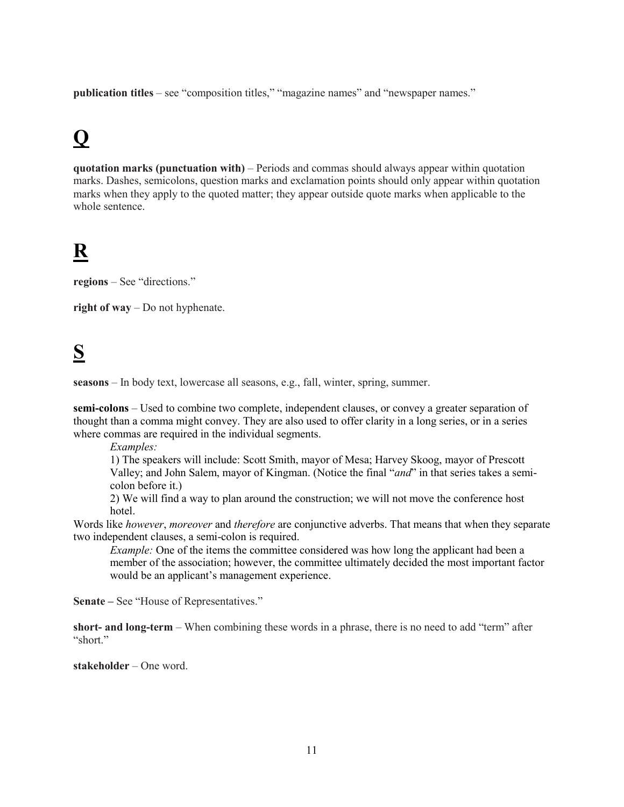**publication titles** – see "composition titles," "magazine names" and "newspaper names."

## **Q**

**quotation marks (punctuation with)** – Periods and commas should always appear within quotation marks. Dashes, semicolons, question marks and exclamation points should only appear within quotation marks when they apply to the quoted matter; they appear outside quote marks when applicable to the whole sentence.

## **R**

**regions** – See "directions."

**right of way** – Do not hyphenate.

## **S**

**seasons** – In body text, lowercase all seasons, e.g., fall, winter, spring, summer.

**semi-colons** – Used to combine two complete, independent clauses, or convey a greater separation of thought than a comma might convey. They are also used to offer clarity in a long series, or in a series where commas are required in the individual segments.

*Examples:* 

1) The speakers will include: Scott Smith, mayor of Mesa; Harvey Skoog, mayor of Prescott Valley; and John Salem, mayor of Kingman. (Notice the final "*and*" in that series takes a semicolon before it.)

2) We will find a way to plan around the construction; we will not move the conference host hotel.

Words like *however*, *moreover* and *therefore* are conjunctive adverbs. That means that when they separate two independent clauses, a semi-colon is required.

*Example:* One of the items the committee considered was how long the applicant had been a member of the association; however, the committee ultimately decided the most important factor would be an applicant's management experience.

**Senate –** See "House of Representatives."

**short- and long-term** – When combining these words in a phrase, there is no need to add "term" after "short."

**stakeholder** – One word.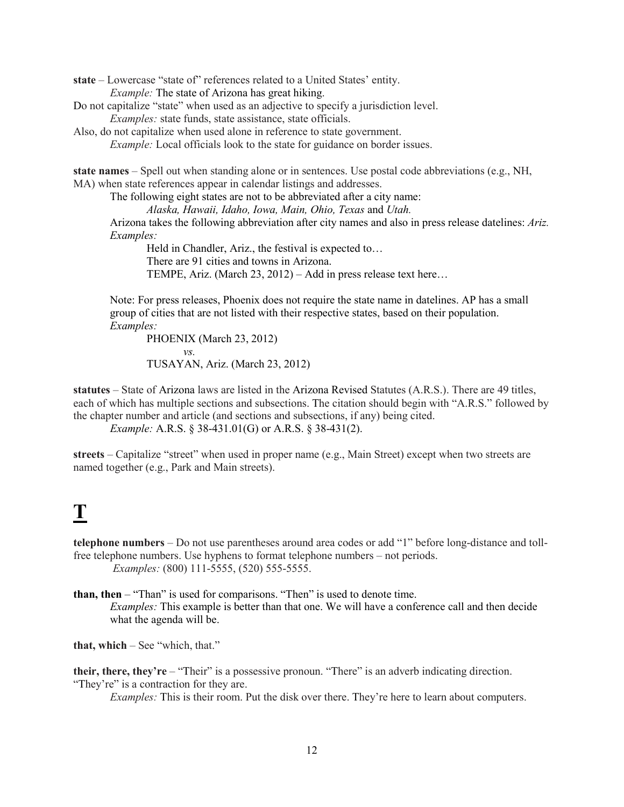**state** – Lowercase "state of" references related to a United States' entity. *Example:* The state of Arizona has great hiking.

- Do not capitalize "state" when used as an adjective to specify a jurisdiction level. *Examples:* state funds, state assistance, state officials.
- Also, do not capitalize when used alone in reference to state government. *Example:* Local officials look to the state for guidance on border issues.

**state names** – Spell out when standing alone or in sentences. Use postal code abbreviations (e.g., NH, MA) when state references appear in calendar listings and addresses.

The following eight states are not to be abbreviated after a city name: *Alaska, Hawaii, Idaho, Iowa, Main, Ohio, Texas* and *Utah.* Arizona takes the following abbreviation after city names and also in press release datelines: *Ariz. Examples:*

Held in Chandler, Ariz., the festival is expected to… There are 91 cities and towns in Arizona. TEMPE, Ariz. (March 23, 2012) – Add in press release text here…

Note: For press releases, Phoenix does not require the state name in datelines. AP has a small group of cities that are not listed with their respective states, based on their population. *Examples:*

PHOENIX (March 23, 2012) *vs.* TUSAYAN, Ariz. (March 23, 2012)

**statutes** – State of Arizona laws are listed in the Arizona Revised Statutes (A.R.S.). There are 49 titles, each of which has multiple sections and subsections. The citation should begin with "A.R.S." followed by the chapter number and article (and sections and subsections, if any) being cited.

*Example:* A.R.S. § 38-431.01(G) or A.R.S. § 38-431(2).

**streets** – Capitalize "street" when used in proper name (e.g., Main Street) except when two streets are named together (e.g., Park and Main streets).

### **T**

**telephone numbers** – Do not use parentheses around area codes or add "1" before long-distance and tollfree telephone numbers. Use hyphens to format telephone numbers – not periods. *Examples:* (800) 111-5555, (520) 555-5555.

**than, then** – "Than" is used for comparisons. "Then" is used to denote time. *Examples:* This example is better than that one. We will have a conference call and then decide what the agenda will be.

**that, which** – See "which, that."

**their, there, they're** – "Their" is a possessive pronoun. "There" is an adverb indicating direction. "They're" is a contraction for they are.

*Examples:* This is their room. Put the disk over there. They're here to learn about computers.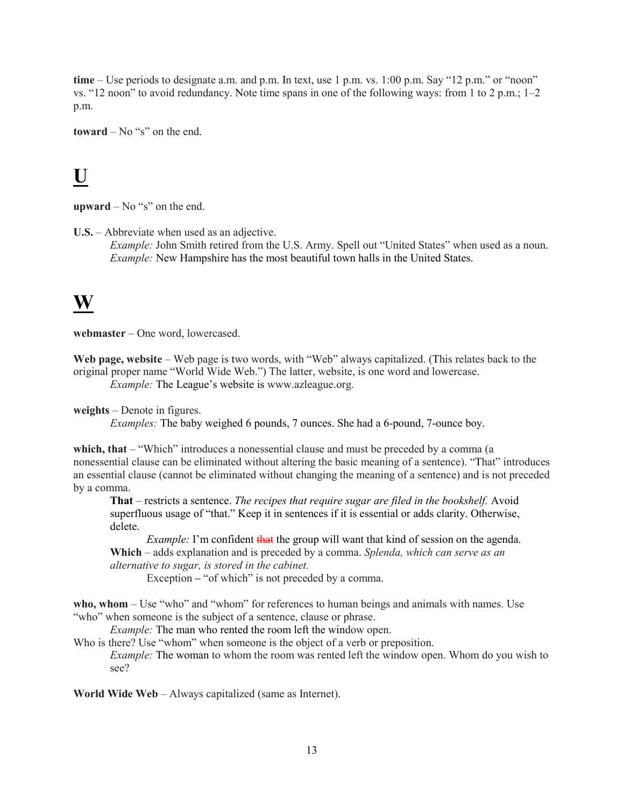**time** – Use periods to designate a.m. and p.m. In text, use 1 p.m. vs. 1:00 p.m. Say "12 p.m." or "noon" vs. "12 noon" to avoid redundancy. Note time spans in one of the following ways: from 1 to 2 p.m.; 1–2 p.m.

**toward** – No "s" on the end.

#### **U**

**upward** – No "s" on the end.

**U.S.** – Abbreviate when used as an adjective.

*Example:* John Smith retired from the U.S. Army. Spell out "United States" when used as a noun. *Example:* New Hampshire has the most beautiful town halls in the United States.

#### **W**

**webmaster** – One word, lowercased.

**Web page, website** – Web page is two words, with "Web" always capitalized. (This relates back to the original proper name "World Wide Web.") The latter, website, is one word and lowercase. *Example:* The League's website is www.azleague.org.

**weights** – Denote in figures.

*Examples:* The baby weighed 6 pounds, 7 ounces. She had a 6-pound, 7-ounce boy.

**which, that** – "Which" introduces a nonessential clause and must be preceded by a comma (a nonessential clause can be eliminated without altering the basic meaning of a sentence). "That" introduces an essential clause (cannot be eliminated without changing the meaning of a sentence) and is not preceded by a comma.

**That** – restricts a sentence. *The recipes that require sugar are filed in the bookshelf.* Avoid superfluous usage of "that." Keep it in sentences if it is essential or adds clarity. Otherwise, delete.

*Example:* I'm confident that the group will want that kind of session on the agenda. **Which** – adds explanation and is preceded by a comma. *Splenda, which can serve as an alternative to sugar, is stored in the cabinet.*

Exception – "of which" is not preceded by a comma.

**who, whom** – Use "who" and "whom" for references to human beings and animals with names. Use "who" when someone is the subject of a sentence, clause or phrase.

*Example:* The man who rented the room left the window open.

Who is there? Use "whom" when someone is the object of a verb or preposition.

*Example:* The woman to whom the room was rented left the window open. Whom do you wish to see?

**World Wide Web** – Always capitalized (same as Internet).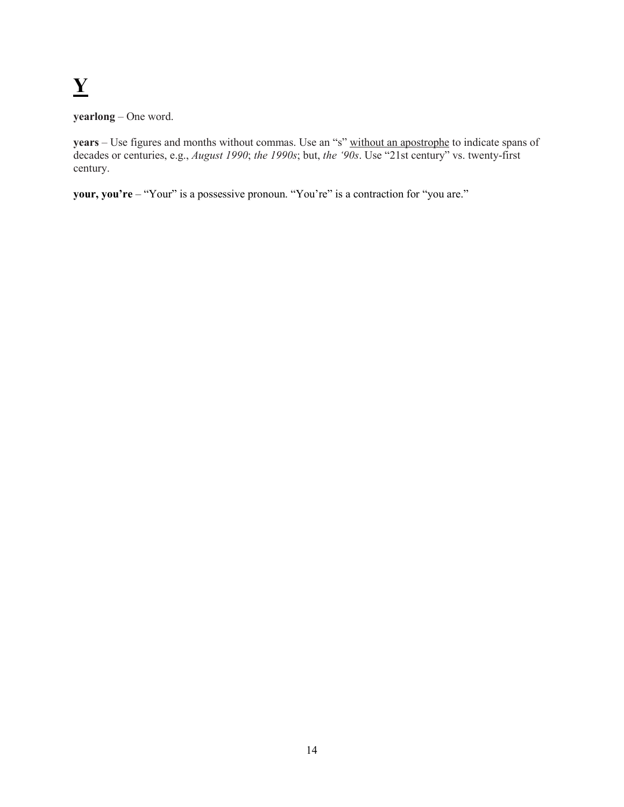# **Y**

**yearlong** – One word.

**years** – Use figures and months without commas. Use an "s" without an apostrophe to indicate spans of decades or centuries, e.g., *August 1990*; *the 1990s*; but, *the '90s*. Use "21st century" vs. twenty-first century.

**your, you're** – "Your" is a possessive pronoun. "You're" is a contraction for "you are."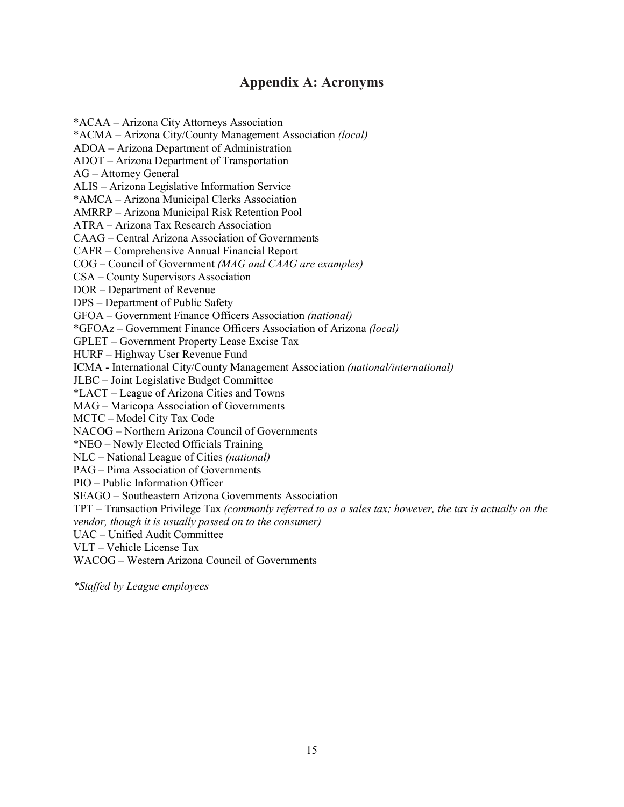#### **Appendix A: Acronyms**

\*ACAA – Arizona City Attorneys Association \*ACMA – Arizona City/County Management Association *(local)* ADOA – Arizona Department of Administration ADOT – Arizona Department of Transportation AG – Attorney General ALIS – Arizona Legislative Information Service \*AMCA – Arizona Municipal Clerks Association AMRRP – Arizona Municipal Risk Retention Pool ATRA – Arizona Tax Research Association CAAG – Central Arizona Association of Governments CAFR – Comprehensive Annual Financial Report COG – Council of Government *(MAG and CAAG are examples)* CSA – County Supervisors Association DOR – Department of Revenue DPS – Department of Public Safety GFOA – Government Finance Officers Association *(national)* \*GFOAz – Government Finance Officers Association of Arizona *(local)* GPLET – Government Property Lease Excise Tax HURF – Highway User Revenue Fund ICMA - International City/County Management Association *(national/international)* JLBC – Joint Legislative Budget Committee \*LACT – League of Arizona Cities and Towns MAG – Maricopa Association of Governments MCTC – Model City Tax Code NACOG – Northern Arizona Council of Governments \*NEO – Newly Elected Officials Training NLC – National League of Cities *(national)* PAG – Pima Association of Governments PIO – Public Information Officer SEAGO – Southeastern Arizona Governments Association TPT – Transaction Privilege Tax *(commonly referred to as a sales tax; however, the tax is actually on the vendor, though it is usually passed on to the consumer)* UAC – Unified Audit Committee VLT – Vehicle License Tax WACOG – Western Arizona Council of Governments

*\*Staffed by League employees*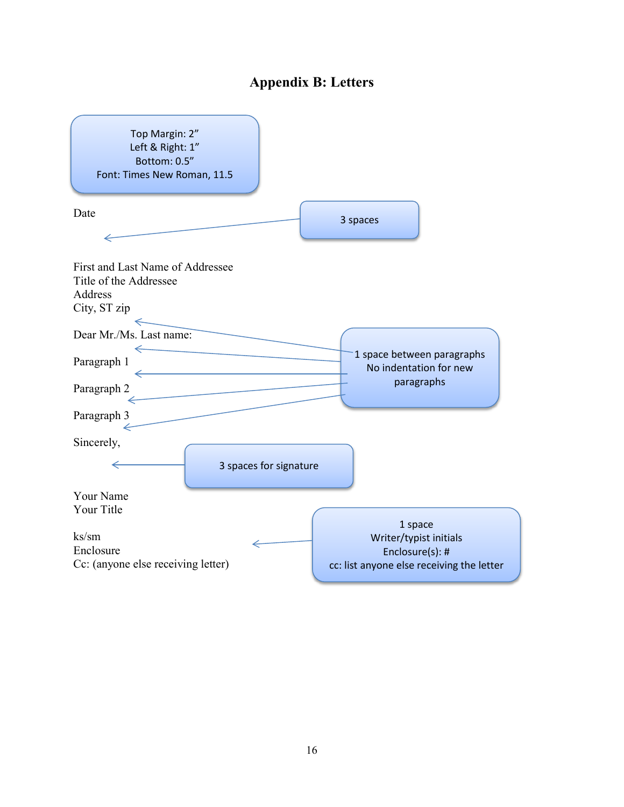#### **Appendix B: Letters**